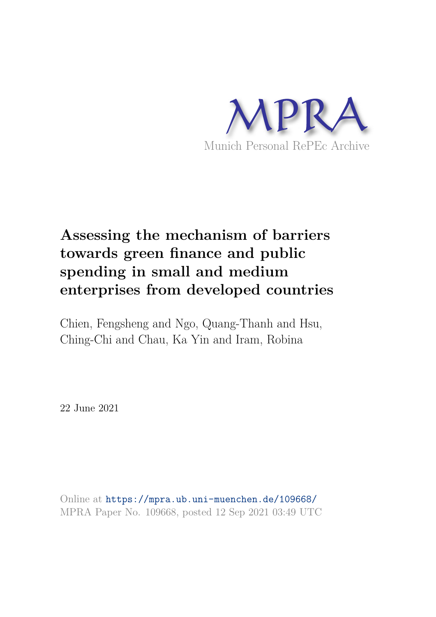

# **Assessing the mechanism of barriers towards green finance and public spending in small and medium enterprises from developed countries**

Chien, Fengsheng and Ngo, Quang-Thanh and Hsu, Ching-Chi and Chau, Ka Yin and Iram, Robina

22 June 2021

Online at https://mpra.ub.uni-muenchen.de/109668/ MPRA Paper No. 109668, posted 12 Sep 2021 03:49 UTC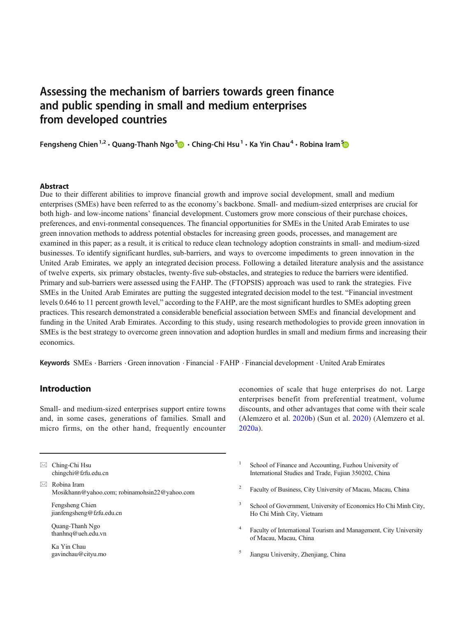## Assessing the mechanism of barriers towards green finance and public spending in small and medium enterprises from developed countries

Fengsheng Chien <sup>1,2</sup> • Quang-Thanh Ngo <sup>[3](https://orcid.org/0000-0001-8357-1957)</sup>D • Ching-Chi Hsu <sup>1</sup> • Ka Yin Chau $^4$  • Robina Iram <sup>[5](http://orcid.org/0000-0002-9221-3016)</sup>

#### Abstract

Due to their different abilities to improve financial growth and improve social development, small and medium enterprises (SMEs) have been referred to as the economy's backbone. Small- and medium-sized enterprises are crucial for both high- and low-income nations' financial development. Customers grow more conscious of their purchase choices, preferences, and envi-ronmental consequences. The financial opportunities for SMEs in the United Arab Emirates to use green innovation methods to address potential obstacles for increasing green goods, processes, and management are examined in this paper; as a result, it is critical to reduce clean technology adoption constraints in small- and medium-sized businesses. To identify significant hurdles, sub-barriers, and ways to overcome impediments to green innovation in the United Arab Emirates, we apply an integrated decision process. Following a detailed literature analysis and the assistance of twelve experts, six primary obstacles, twenty-five sub-obstacles, and strategies to reduce the barriers were identified. Primary and sub-barriers were assessed using the FAHP. The (FTOPSIS) approach was used to rank the strategies. Five SMEs in the United Arab Emirates are putting the suggested integrated decision model to the test. "Financial investment levels 0.646 to 11 percent growth level," according to the FAHP, are the most significant hurdles to SMEs adopting green practices. This research demonstrated a considerable beneficial association between SMEs and financial development and funding in the United Arab Emirates. According to this study, using research methodologies to provide green innovation in SMEs is the best strategy to overcome green innovation and adoption hurdles in small and medium firms and increasing their economics.

Keywords SMEs . Barriers . Green innovation . Financial . FAHP . Financial development . United Arab Emirates

## Introduction

Small- and medium-sized enterprises support entire towns and, in some cases, generations of families. Small and micro firms, on the other hand, frequently encounter

 $\boxtimes$  Ching-Chi Hsu [chingchi@fzfu.edu.cn](mailto:chingchi@fzfu.edu.cn)

 $\boxtimes$  Robina Iram [Mosikhann@yahoo.com;](mailto:Mosikhann@yahoo.com) [robinamohsin22@yahoo.com](mailto:robinamohsin22@yahoo.com)

Fengsheng Chien jianfengsheng@fzfu.edu.cn

Quang-Thanh Ngo thanhnq@ueh.edu.vn

Ka Yin Chau gavinchau@cityu.mo economies of scale that huge enterprises do not. Large enterprises benefit from preferential treatment, volume discounts, and other advantages that come with their scale (Alemzero et al. [2020b](#page-14-0)) (Sun et al. [2020](#page-16-0)) (Alemzero et al. [2020a\)](#page-14-0).

- 1 School of Finance and Accounting, Fuzhou University of International Studies and Trade, Fujian 350202, China
- 2 Faculty of Business, City University of Macau, Macau, China
- 3 School of Government, University of Economics Ho Chi Minh City, Ho Chi Minh City, Vietnam
- 4 Faculty of International Tourism and Management, City University of Macau, Macau, China
- 5 Jiangsu University, Zhenjiang, China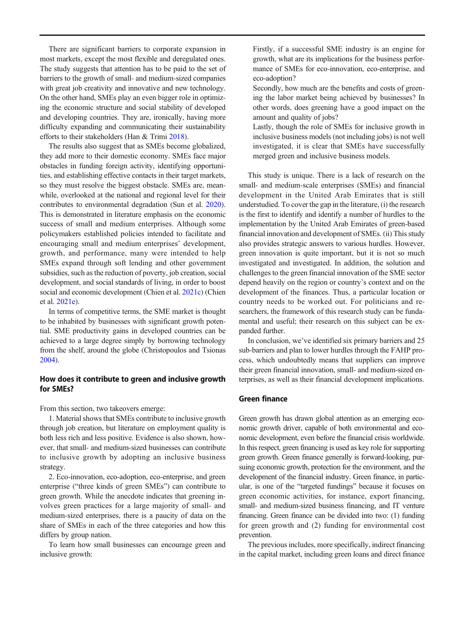There are significant barriers to corporate expansion in most markets, except the most flexible and deregulated ones. The study suggests that attention has to be paid to the set of barriers to the growth of small- and medium-sized companies with great job creativity and innovative and new technology. On the other hand, SMEs play an even bigger role in optimizing the economic structure and social stability of developed and developing countries. They are, ironically, having more difficulty expanding and communicating their sustainability efforts to their stakeholders (Han & Trimi [2018](#page-15-0)).

The results also suggest that as SMEs become globalized, they add more to their domestic economy. SMEs face major obstacles in funding foreign activity, identifying opportunities, and establishing effective contacts in their target markets, so they must resolve the biggest obstacle. SMEs are, meanwhile, overlooked at the national and regional level for their contributes to environmental degradation (Sun et al. [2020\)](#page-16-0). This is demonstrated in literature emphasis on the economic success of small and medium enterprises. Although some policymakers established policies intended to facilitate and encouraging small and medium enterprises' development, growth, and performance, many were intended to help SMEs expand through soft lending and other government subsidies, such as the reduction of poverty, job creation, social development, and social standards of living, in order to boost social and economic development (Chien et al. [2021c](#page-14-0)) (Chien et al. [2021e](#page-14-0)).

In terms of competitive terms, the SME market is thought to be inhabited by businesses with significant growth potential. SME productivity gains in developed countries can be achieved to a large degree simply by borrowing technology from the shelf, around the globe (Christopoulos and Tsionas [2004\)](#page-14-0).

## How does it contribute to green and inclusive growth for SMEs?

From this section, two takeovers emerge:

1. Material shows that SMEs contribute to inclusive growth through job creation, but literature on employment quality is both less rich and less positive. Evidence is also shown, however, that small- and medium-sized businesses can contribute to inclusive growth by adopting an inclusive business strategy.

2. Eco-innovation, eco-adoption, eco-enterprise, and green enterprise ("three kinds of green SMEs") can contribute to green growth. While the anecdote indicates that greening involves green practices for a large majority of small- and medium-sized enterprises, there is a paucity of data on the share of SMEs in each of the three categories and how this differs by group nation.

To learn how small businesses can encourage green and inclusive growth:

Firstly, if a successful SME industry is an engine for growth, what are its implications for the business performance of SMEs for eco-innovation, eco-enterprise, and eco-adoption?

Secondly, how much are the benefits and costs of greening the labor market being achieved by businesses? In other words, does greening have a good impact on the amount and quality of jobs?

Lastly, though the role of SMEs for inclusive growth in inclusive business models (not including jobs) is not well investigated, it is clear that SMEs have successfully merged green and inclusive business models.

This study is unique. There is a lack of research on the small- and medium-scale enterprises (SMEs) and financial development in the United Arab Emirates that is still understudied. To cover the gap in the literature, (i) the research is the first to identify and identify a number of hurdles to the implementation by the United Arab Emirates of green-based financial innovation and development of SMEs. (ii) This study also provides strategic answers to various hurdles. However, green innovation is quite important, but it is not so much investigated and investigated. In addition, the solution and challenges to the green financial innovation of the SME sector depend heavily on the region or country's context and on the development of the finances. Thus, a particular location or country needs to be worked out. For politicians and researchers, the framework of this research study can be fundamental and useful; their research on this subject can be expanded further.

In conclusion, we've identified six primary barriers and 25 sub-barriers and plan to lower hurdles through the FAHP process, which undoubtedly means that suppliers can improve their green financial innovation, small- and medium-sized enterprises, as well as their financial development implications.

## Green finance

Green growth has drawn global attention as an emerging economic growth driver, capable of both environmental and economic development, even before the financial crisis worldwide. In this respect, green financing is used as key role for supporting green growth. Green finance generally is forward-looking, pursuing economic growth, protection for the environment, and the development of the financial industry. Green finance, in particular, is one of the "targeted fundings" because it focuses on green economic activities, for instance, export financing, small- and medium-sized business financing, and IT venture financing. Green finance can be divided into two: (1) funding for green growth and (2) funding for environmental cost prevention.

The previous includes, more specifically, indirect financing in the capital market, including green loans and direct finance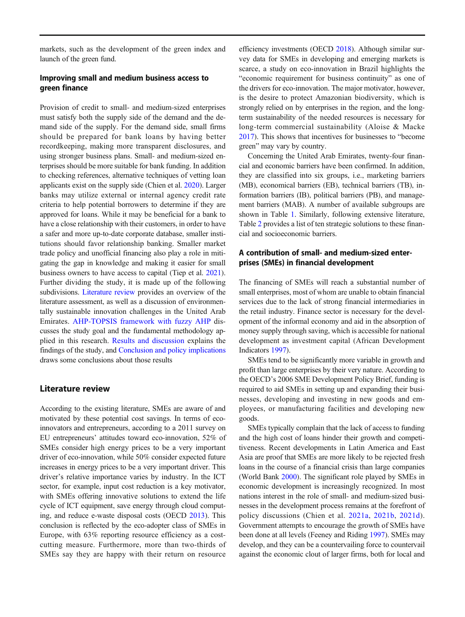markets, such as the development of the green index and launch of the green fund.

## Improving small and medium business access to green finance

Provision of credit to small- and medium-sized enterprises must satisfy both the supply side of the demand and the demand side of the supply. For the demand side, small firms should be prepared for bank loans by having better recordkeeping, making more transparent disclosures, and using stronger business plans. Small- and medium-sized enterprises should be more suitable for bank funding. In addition to checking references, alternative techniques of vetting loan applicants exist on the supply side (Chien et al. [2020](#page-14-0)). Larger banks may utilize external or internal agency credit rate criteria to help potential borrowers to determine if they are approved for loans. While it may be beneficial for a bank to have a close relationship with their customers, in order to have a safer and more up-to-date corporate database, smaller institutions should favor relationship banking. Smaller market trade policy and unofficial financing also play a role in mitigating the gap in knowledge and making it easier for small business owners to have access to capital (Tiep et al. [2021\)](#page-16-0). Further dividing the study, it is made up of the following subdivisions. Literature review provides an overview of the literature assessment, as well as a discussion of environmentally sustainable innovation challenges in the United Arab Emirates. [AHP-TOPSIS framework with fuzzy AHP](#page-5-0) discusses the study goal and the fundamental methodology applied in this research. [Results and discussion](#page-8-0) explains the findings of the study, and [Conclusion and policy implications](#page-13-0) draws some conclusions about those results

## Literature review

According to the existing literature, SMEs are aware of and motivated by these potential cost savings. In terms of ecoinnovators and entrepreneurs, according to a 2011 survey on EU entrepreneurs' attitudes toward eco-innovation, 52% of SMEs consider high energy prices to be a very important driver of eco-innovation, while 50% consider expected future increases in energy prices to be a very important driver. This driver's relative importance varies by industry. In the ICT sector, for example, input cost reduction is a key motivator, with SMEs offering innovative solutions to extend the life cycle of ICT equipment, save energy through cloud computing, and reduce e-waste disposal costs (OECD [2013](#page-16-0)). This conclusion is reflected by the eco-adopter class of SMEs in Europe, with 63% reporting resource efficiency as a costcutting measure. Furthermore, more than two-thirds of SMEs say they are happy with their return on resource

efficiency investments (OECD [2018](#page-16-0)). Although similar survey data for SMEs in developing and emerging markets is scarce, a study on eco-innovation in Brazil highlights the "economic requirement for business continuity" as one of the drivers for eco-innovation. The major motivator, however, is the desire to protect Amazonian biodiversity, which is strongly relied on by enterprises in the region, and the longterm sustainability of the needed resources is necessary for long-term commercial sustainability (Aloise & Macke [2017\)](#page-14-0). This shows that incentives for businesses to "become green" may vary by country.

Concerning the United Arab Emirates, twenty-four financial and economic barriers have been confirmed. In addition, they are classified into six groups, i.e., marketing barriers (MB), economical barriers (EB), technical barriers (TB), information barriers (IB), political barriers (PB), and management barriers (MAB). A number of available subgroups are shown in Table [1](#page-4-0). Similarly, following extensive literature, Table [2](#page-5-0) provides a list of ten strategic solutions to these financial and socioeconomic barriers.

## A contribution of small- and medium-sized enterprises (SMEs) in financial development

The financing of SMEs will reach a substantial number of small enterprises, most of whom are unable to obtain financial services due to the lack of strong financial intermediaries in the retail industry. Finance sector is necessary for the development of the informal economy and aid in the absorption of money supply through saving, which is accessible for national development as investment capital (African Development Indicators [1997\)](#page-14-0).

SMEs tend to be significantly more variable in growth and profit than large enterprises by their very nature. According to the OECD's 2006 SME Development Policy Brief, funding is required to aid SMEs in setting up and expanding their businesses, developing and investing in new goods and employees, or manufacturing facilities and developing new goods.

SMEs typically complain that the lack of access to funding and the high cost of loans hinder their growth and competitiveness. Recent developments in Latin America and East Asia are proof that SMEs are more likely to be rejected fresh loans in the course of a financial crisis than large companies (World Bank [2000](#page-16-0)). The significant role played by SMEs in economic development is increasingly recognized. In most nations interest in the role of small- and medium-sized businesses in the development process remains at the forefront of policy discussions (Chien et al. [2021a](#page-14-0), [2021b](#page-14-0), [2021d](#page-14-0)). Government attempts to encourage the growth of SMEs have been done at all levels (Feeney and Riding [1997](#page-15-0)). SMEs may develop, and they can be a countervailing force to countervail against the economic clout of larger firms, both for local and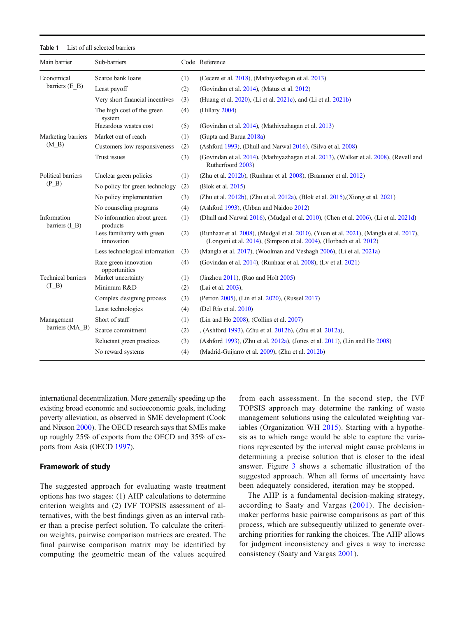<span id="page-4-0"></span>

| Main barrier                  | Sub-barriers                              |     | Code Reference                                                                                                                                                |
|-------------------------------|-------------------------------------------|-----|---------------------------------------------------------------------------------------------------------------------------------------------------------------|
| Economical                    | Scarce bank loans                         |     | (Cecere et al. 2018), (Mathiyazhagan et al. 2013)                                                                                                             |
| barriers (E B)                | Least payoff                              | (2) | (Govindan et al. 2014), (Matus et al. 2012)                                                                                                                   |
|                               | Very short financial incentives           | (3) | (Huang et al. 2020), (Li et al. 2021c), and (Li et al. 2021b)                                                                                                 |
|                               | The high cost of the green<br>system      | (4) | (Hillary 2004)                                                                                                                                                |
|                               | Hazardous wastes cost                     | (5) | (Govindan et al. 2014), (Mathiyazhagan et al. 2013)                                                                                                           |
| Marketing barriers            | Market out of reach                       | (1) | (Gupta and Barua 2018a)                                                                                                                                       |
| (M B)                         | Customers low responsiveness              | (2) | (Ashford 1993), (Dhull and Narwal 2016), (Silva et al. 2008)                                                                                                  |
|                               | Trust issues                              | (3) | (Govindan et al. 2014), (Mathiyazhagan et al. 2013), (Walker et al. 2008), (Revell and<br>Rutherfoord 2003)                                                   |
| Political barriers            | Unclear green policies                    | (1) | (Zhu et al. $2012b$ ), (Runhaar et al. $2008$ ), (Brammer et al. $2012$ )                                                                                     |
| $(P \ B)$                     | No policy for green technology            | (2) | (Blok et al. 2015)                                                                                                                                            |
|                               | No policy implementation                  | (3) | (Zhu et al. 2012b), (Zhu et al. 2012a), (Blok et al. 2015), (Xiong et al. 2021)                                                                               |
|                               | No counseling programs                    | (4) | (Ashford 1993), (Urban and Naidoo 2012)                                                                                                                       |
| Information<br>barriers (I B) | No information about green<br>products    | (1) | (Dhull and Narwal 2016), (Mudgal et al. 2010), (Chen et al. 2006), (Li et al. 2021d)                                                                          |
|                               | Less familiarity with green<br>innovation | (2) | (Runhaar et al. 2008), (Mudgal et al. 2010), (Yuan et al. 2021), (Mangla et al. 2017),<br>(Longoni et al. 2014), (Simpson et al. 2004), (Horbach et al. 2012) |
|                               | Less technological information            | (3) | (Mangla et al. 2017), (Woolman and Veshagh 2006), (Li et al. 2021a)                                                                                           |
|                               | Rare green innovation<br>opportunities    | (4) | (Govindan et al. 2014), (Runhaar et al. 2008), (Ly et al. 2021)                                                                                               |
| <b>Technical barriers</b>     | Market uncertainty                        | (1) | (Jinzhou $2011$ ), (Rao and Holt $2005$ )                                                                                                                     |
| (T B)                         | Minimum R&D                               | (2) | (Lai et al. 2003),                                                                                                                                            |
|                               | Complex designing process                 | (3) | (Perron 2005), (Lin et al. 2020), (Russel 2017)                                                                                                               |
|                               | Least technologies                        | (4) | (Del Río et al. 2010)                                                                                                                                         |
| Management                    | Short of staff                            | (1) | (Lin and Ho $2008$ ), (Collins et al. $2007$ )                                                                                                                |
| barriers (MA B)               | Scarce commitment                         | (2) | , (Ashford 1993), (Zhu et al. 2012b), (Zhu et al. 2012a),                                                                                                     |
|                               | Reluctant green practices                 | (3) | (Ashford 1993), (Zhu et al. 2012a), (Jones et al. 2011), (Lin and Ho 2008)                                                                                    |
|                               | No reward systems                         | (4) | (Madrid-Guijarro et al. 2009), (Zhu et al. 2012b)                                                                                                             |

international decentralization. More generally speeding up the existing broad economic and socioeconomic goals, including poverty alleviation, as observed in SME development (Cook and Nixson [2000](#page-15-0)). The OECD research says that SMEs make up roughly 25% of exports from the OECD and 35% of exports from Asia (OECD [1997\)](#page-16-0).

#### Framework of study

The suggested approach for evaluating waste treatment options has two stages: (1) AHP calculations to determine criterion weights and (2) IVF TOPSIS assessment of alternatives, with the best findings given as an interval rather than a precise perfect solution. To calculate the criterion weights, pairwise comparison matrices are created. The final pairwise comparison matrix may be identified by computing the geometric mean of the values acquired

from each assessment. In the second step, the IVF TOPSIS approach may determine the ranking of waste management solutions using the calculated weighting variables (Organization WH [2015\)](#page-16-0). Starting with a hypothesis as to which range would be able to capture the variations represented by the interval might cause problems in determining a precise solution that is closer to the ideal answer. Figure [3](#page-10-0) shows a schematic illustration of the suggested approach. When all forms of uncertainty have been adequately considered, iteration may be stopped.

The AHP is a fundamental decision-making strategy, according to Saaty and Vargas ([2001](#page-16-0)). The decisionmaker performs basic pairwise comparisons as part of this process, which are subsequently utilized to generate overarching priorities for ranking the choices. The AHP allows for judgment inconsistency and gives a way to increase consistency (Saaty and Vargas [2001](#page-16-0)).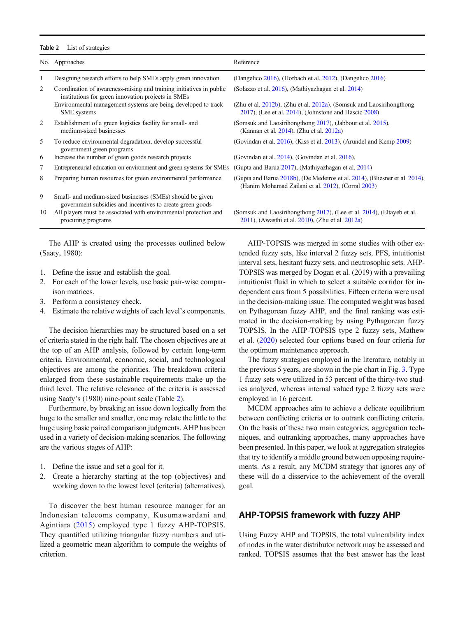#### <span id="page-5-0"></span>Table 2 List of strategies

|    | No. Approaches                                                                                                             | Reference                                                                                                                              |
|----|----------------------------------------------------------------------------------------------------------------------------|----------------------------------------------------------------------------------------------------------------------------------------|
| 1  | Designing research efforts to help SMEs apply green innovation                                                             | (Dangelico 2016), (Horbach et al. 2012), (Dangelico 2016)                                                                              |
| 2  | Coordination of awareness-raising and training initiatives in public<br>institutions for green innovation projects in SMEs | (Solazzo et al. 2016), (Mathiyazhagan et al. 2014)                                                                                     |
|    | Environmental management systems are being developed to track<br><b>SME</b> systems                                        | (Zhu et al. 2012b), (Zhu et al. 2012a), (Somsuk and Laosirihongthong<br>$2017$ ), (Lee et al. $2014$ ), (Johnstone and Hascic $2008$ ) |
| 2  | Establishment of a green logistics facility for small- and<br>medium-sized businesses                                      | (Somsuk and Laosirihongthong 2017), (Jabbour et al. 2015),<br>(Kannan et al. 2014), (Zhu et al. 2012a)                                 |
| 5  | To reduce environmental degradation, develop successful<br>government green programs                                       | (Govindan et al. 2016), (Kiss et al. 2013), (Arundel and Kemp 2009)                                                                    |
| 6  | Increase the number of green goods research projects                                                                       | (Govindan et al. 2014), (Govindan et al. 2016),                                                                                        |
| 7  | Entrepreneurial education on environment and green systems for SMEs                                                        | (Gupta and Barua 2017), (Mathiyazhagan et al. 2014)                                                                                    |
| 8  | Preparing human resources for green environmental performance                                                              | (Gupta and Barua 2018b), (De Medeiros et al. 2014), (Bliesner et al. 2014),<br>(Hanim Mohamad Zailani et al. 2012), (Corral 2003)      |
| 9  | Small- and medium-sized businesses (SMEs) should be given<br>government subsidies and incentives to create green goods     |                                                                                                                                        |
| 10 | All players must be associated with environmental protection and                                                           | (Somsuk and Laosirihongthong 2017), (Lee et al. 2014), (Eltayeb et al.                                                                 |

The AHP is created using the processes outlined below (Saaty, 1980):

- 1. Define the issue and establish the goal.
- 2. For each of the lower levels, use basic pair-wise comparison matrices.
- 3. Perform a consistency check.

procuring programs

4. Estimate the relative weights of each level's components.

The decision hierarchies may be structured based on a set of criteria stated in the right half. The chosen objectives are at the top of an AHP analysis, followed by certain long-term criteria. Environmental, economic, social, and technological objectives are among the priorities. The breakdown criteria enlarged from these sustainable requirements make up the third level. The relative relevance of the criteria is assessed using Saaty's (1980) nine-point scale (Table 2).

Furthermore, by breaking an issue down logically from the huge to the smaller and smaller, one may relate the little to the huge using basic paired comparison judgments. AHP has been used in a variety of decision-making scenarios. The following are the various stages of AHP:

- 1. Define the issue and set a goal for it.
- 2. Create a hierarchy starting at the top (objectives) and working down to the lowest level (criteria) (alternatives).

To discover the best human resource manager for an Indonesian telecoms company, Kusumawardani and Agintiara ([2015](#page-15-0)) employed type 1 fuzzy AHP-TOPSIS. They quantified utilizing triangular fuzzy numbers and utilized a geometric mean algorithm to compute the weights of criterion.

AHP-TOPSIS was merged in some studies with other extended fuzzy sets, like interval 2 fuzzy sets, PFS, intuitionist interval sets, hesitant fuzzy sets, and neutrosophic sets. AHP-TOPSIS was merged by Dogan et al. (2019) with a prevailing intuitionist fluid in which to select a suitable corridor for independent cars from 5 possibilities. Fifteen criteria were used in the decision-making issue. The computed weight was based on Pythagorean fuzzy AHP, and the final ranking was estimated in the decision-making by using Pythagorean fuzzy TOPSIS. In the AHP-TOPSIS type 2 fuzzy sets, Mathew et al. [\(2020\)](#page-16-0) selected four options based on four criteria for the optimum maintenance approach.

[2011](#page-15-0)), (Awasthi et al. [2010](#page-14-0)), (Zhu et al. [2012a\)](#page-16-0)

The fuzzy strategies employed in the literature, notably in the previous 5 years, are shown in the pie chart in Fig. [3.](#page-10-0) Type 1 fuzzy sets were utilized in 53 percent of the thirty-two studies analyzed, whereas internal valued type 2 fuzzy sets were employed in 16 percent.

MCDM approaches aim to achieve a delicate equilibrium between conflicting criteria or to outrank conflicting criteria. On the basis of these two main categories, aggregation techniques, and outranking approaches, many approaches have been presented. In this paper, we look at aggregation strategies that try to identify a middle ground between opposing requirements. As a result, any MCDM strategy that ignores any of these will do a disservice to the achievement of the overall goal.

## AHP-TOPSIS framework with fuzzy AHP

Using Fuzzy AHP and TOPSIS, the total vulnerability index of nodes in the water distributor network may be assessed and ranked. TOPSIS assumes that the best answer has the least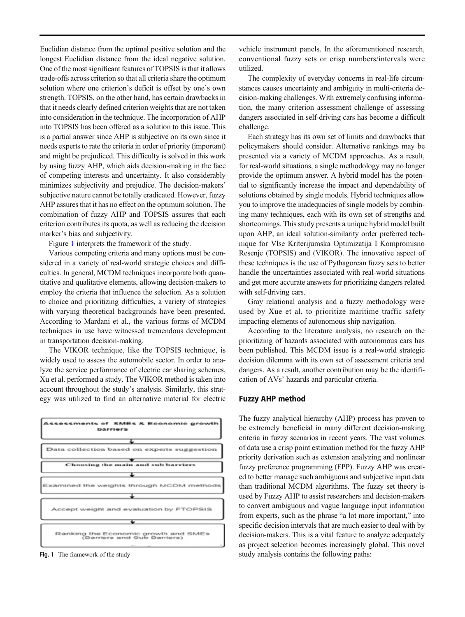Euclidian distance from the optimal positive solution and the longest Euclidian distance from the ideal negative solution. One of the most significant features of TOPSIS is that it allows trade-offs across criterion so that all criteria share the optimum solution where one criterion's deficit is offset by one's own strength. TOPSIS, on the other hand, has certain drawbacks in that it needs clearly defined criterion weights that are not taken into consideration in the technique. The incorporation of AHP into TOPSIS has been offered as a solution to this issue. This is a partial answer since AHP is subjective on its own since it needs experts to rate the criteria in order of priority (important) and might be prejudiced. This difficulty is solved in this work by using fuzzy AHP, which aids decision-making in the face of competing interests and uncertainty. It also considerably minimizes subjectivity and prejudice. The decision-makers' subjective nature cannot be totally eradicated. However, fuzzy AHP assures that it has no effect on the optimum solution. The combination of fuzzy AHP and TOPSIS assures that each criterion contributes its quota, as well as reducing the decision marker's bias and subjectivity.

Figure 1 interprets the framework of the study.

Various competing criteria and many options must be considered in a variety of real-world strategic choices and difficulties. In general, MCDM techniques incorporate both quantitative and qualitative elements, allowing decision-makers to employ the criteria that influence the selection. As a solution to choice and prioritizing difficulties, a variety of strategies with varying theoretical backgrounds have been presented. According to Mardani et al., the various forms of MCDM techniques in use have witnessed tremendous development in transportation decision-making.

The VIKOR technique, like the TOPSIS technique, is widely used to assess the automobile sector. In order to analyze the service performance of electric car sharing schemes, Xu et al. performed a study. The VIKOR method is taken into account throughout the study's analysis. Similarly, this strategy was utilized to find an alternative material for electric



vehicle instrument panels. In the aforementioned research, conventional fuzzy sets or crisp numbers/intervals were utilized.

The complexity of everyday concerns in real-life circumstances causes uncertainty and ambiguity in multi-criteria decision-making challenges. With extremely confusing information, the many criterion assessment challenge of assessing dangers associated in self-driving cars has become a difficult challenge.

Each strategy has its own set of limits and drawbacks that policymakers should consider. Alternative rankings may be presented via a variety of MCDM approaches. As a result, for real-world situations, a single methodology may no longer provide the optimum answer. A hybrid model has the potential to significantly increase the impact and dependability of solutions obtained by single models. Hybrid techniques allow you to improve the inadequacies of single models by combining many techniques, each with its own set of strengths and shortcomings. This study presents a unique hybrid model built upon AHP, an ideal solution-similarity order preferred technique for Vlse Kriterijumska Optimizatija I Kompromisno Resenje (TOPSIS) and (VIKOR). The innovative aspect of these techniques is the use of Pythagorean fuzzy sets to better handle the uncertainties associated with real-world situations and get more accurate answers for prioritizing dangers related with self-driving cars.

Gray relational analysis and a fuzzy methodology were used by Xue et al. to prioritize maritime traffic safety impacting elements of autonomous ship navigation.

According to the literature analysis, no research on the prioritizing of hazards associated with autonomous cars has been published. This MCDM issue is a real-world strategic decision dilemma with its own set of assessment criteria and dangers. As a result, another contribution may be the identification of AVs' hazards and particular criteria.

## Fuzzy AHP method

The fuzzy analytical hierarchy (AHP) process has proven to be extremely beneficial in many different decision-making criteria in fuzzy scenarios in recent years. The vast volumes of data use a crisp point estimation method for the fuzzy AHP priority derivation such as extension analyzing and nonlinear fuzzy preference programming (FPP). Fuzzy AHP was created to better manage such ambiguous and subjective input data than traditional MCDM algorithms. The fuzzy set theory is used by Fuzzy AHP to assist researchers and decision-makers to convert ambiguous and vague language input information from experts, such as the phrase "a lot more important," into specific decision intervals that are much easier to deal with by decision-makers. This is a vital feature to analyze adequately as project selection becomes increasingly global. This novel Fig. 1 The framework of the study study analysis contains the following paths: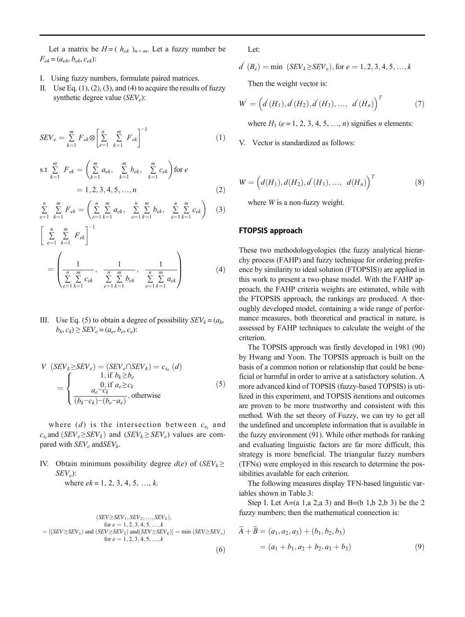Let a matrix be  $H = (h_{ek})_{n \times m}$ . Let a fuzzy number be  $F_{ek} = (a_{ek}, b_{ek}, c_{ek})$ :

- I. Using fuzzy numbers, formulate paired matrices.
- II. Use Eq.  $(1)$ ,  $(2)$ ,  $(3)$ , and  $(4)$  to acquire the results of fuzzy synthetic degree value  $(SEV_e)$ :

$$
SEV_e = \sum_{k=1}^{m} F_{ek} \otimes \left[ \sum_{e=1}^{n} \sum_{k=1}^{m} F_{ek} \right]^{-1}
$$
 (1)

s.t 
$$
\sum_{k=1}^{m} F_{ek} = \left(\sum_{k=1}^{m} a_{ek}, \sum_{k=1}^{m} b_{ek}, \sum_{k=1}^{m} c_{ek}\right) \text{ for } e
$$

$$
= 1, 2, 3, 4, 5, ..., n
$$
 (2)

$$
\sum_{e=1}^{n} \sum_{k=1}^{m} F_{ek} = \left( \sum_{e=1}^{n} \sum_{k=1}^{m} a_{ek}, \sum_{e=1}^{n} \sum_{k=1}^{m} b_{ek}, \sum_{e=1}^{n} \sum_{k=1}^{m} c_{ek} \right) (3)
$$

$$
\left[\sum_{e=1}^{n} \sum_{k=1}^{m} F_{ek}\right]^{-1}
$$
\n
$$
= \left(\frac{1}{\sum_{e=1}^{n} \sum_{k=1}^{m} c_{ek}}, \frac{1}{\sum_{e=1}^{n} \sum_{k=1}^{m} b_{ek}}, \frac{1}{\sum_{e=1}^{n} \sum_{k=1}^{m} a_{ek}}\right)
$$
\n(4)

III. Use Eq. (5) to obtain a degree of possibility  $SEV_k = (a_k,$  $b_k, c_k$ )  $\geq$   $SEV_e = (a_e, b_e, c_e)$ :

$$
V (SEV_k \ge SEV_e) = (SEV_e \cap SEV_k) = c_{s_k} (d)
$$
  
= 
$$
\begin{cases} 1, \text{ if } b_k \ge b_e \\ 0, \text{ if } a_e \ge c_k \\ \frac{a_e - c_k}{(b_k - c_k) - (b_e - a_e)}, \text{ otherwise} \end{cases}
$$
 (5)

where (d) is the intersection between  $c_{s_k}$  and  $c_{s_e}$  and  $(SEV_e \geq SEV_k)$  and  $(SEV_k \geq SEV_e)$  values are compared with  $SEV_e$  and  $SEV_k$ .

IV. Obtain minimum possibility degree  $d(e)$  of  $(SEV_k \geq 1)$  $SEV_e$ ):

where  $ek = 1, 2, 3, 4, 5, \ldots, k$ .

$$
(SEV \ge SEV_1, SEV_2, ..., SEV_k),
$$
  
for  $e = 1, 2, 3, 4, 5, ..., k$   

$$
= [(SEV \ge SEV_1) \text{ and } (SEV \ge SEV_2) \text{ and } (SEV \ge SEV_k)] = \min (SEV \ge SEV_e)
$$
  
for  $e = 1, 2, 3, 4, 5, ..., k$  (6)

Let:

$$
d'(B_e) = \min (SEV_k \ge SEV_e), \text{ for } e = 1, 2, 3, 4, 5, ..., k
$$

Then the weight vector is:

$$
W' = \left(d'(H_1), d'(H_2), d'(H_3), \dots, d'(H_n)\right)^T
$$
 (7)

where  $H_1$  (e = 1, 2, 3, 4, 5, ..., n) signifies n elements:

V. Vector is standardized as follows:

$$
W = (d(H_1), d(H_2), d'(H_3), \dots, d(H_n))^{T}
$$
 (8)

where  $W$  is a non-fuzzy weight.

## FTOPSIS approach

These two methodologyologies (the fuzzy analytical hierarchy process (FAHP) and fuzzy technique for ordering preference by similarity to ideal solution (FTOPSIS)) are applied in this work to present a two-phase model. With the FAHP approach, the FAHP criteria weights are estimated, while with the FTOPSIS approach, the rankings are produced. A thoroughly developed model, containing a wide range of performance measures, both theoretical and practical in nature, is assessed by FAHP techniques to calculate the weight of the criterion.

The TOPSIS approach was firstly developed in 1981 (90) by Hwang and Yoon. The TOPSIS approach is built on the basis of a common notion or relationship that could be beneficial or harmful in order to arrive at a satisfactory solution. A more advanced kind of TOPSIS (fuzzy-based TOPSIS) is utilized in this experiment, and TOPSIS iterations and outcomes are proven to be more trustworthy and consistent with this method. With the set theory of Fuzzy, we can try to get all the undefined and uncomplete information that is available in the fuzzy environment (91). While other methods for ranking and evaluating linguistic factors are far more difficult, this strategy is more beneficial. The triangular fuzzy numbers (TFNs) were employed in this research to determine the possibilities available for each criterion.

The following measures display TFN-based linguistic variables shown in Table [3](#page-8-0):

Step I. Let  $A=(a 1, a 2, a 3)$  and  $B=(b 1, b 2, b 3)$  be the 2 fuzzy numbers; then the mathematical connection is:

$$
\widetilde{A} + \widetilde{B} = (a_1, a_2, a_3) + (b_1, b_2, b_3)
$$
  
=  $(a_1 + b_1, a_2 + b_2, a_3 + b_3)$  (9)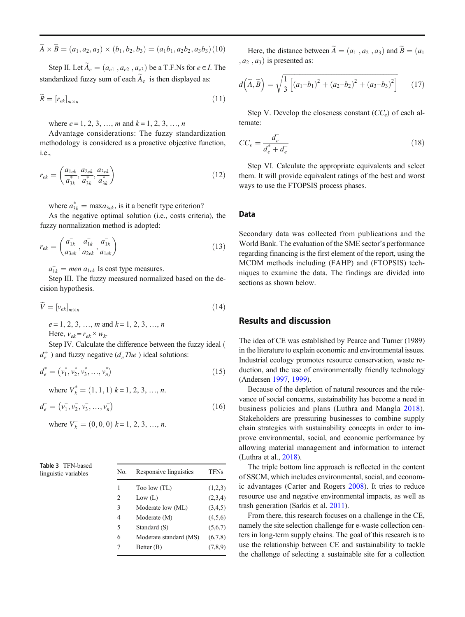<span id="page-8-0"></span>
$$
\widetilde{A} \times \widetilde{B} = (a_1, a_2, a_3) \times (b_1, b_2, b_3) = (a_1b_1, a_2b_2, a_3b_3)(10)
$$

Step II. Let  $\widetilde{A}_e = (a_{e1}, a_{e2}, a_{e3})$  be a T.F.Ns for  $e \in I$ . The standardized fuzzy sum of each  $\widetilde{A}_e$  is then displayed as:

$$
\widetilde{R} = [r_{ek}]_{m \times n} \tag{11}
$$

where  $e = 1, 2, 3, ..., m$  and  $k = 1, 2, 3, ..., n$ 

Advantage considerations: The fuzzy standardization methodology is considered as a proactive objective function, i.e.,

$$
r_{ek} = \left(\frac{a_{1ek}}{a_{3k}^*}, \frac{a_{2ek}}{a_{3k}^*}, \frac{a_{3ek}}{a_{3k}^*}\right) \tag{12}
$$

where  $a_{3k}^* = \max a_{3ek}$ , is it a benefit type criterion?

As the negative optimal solution (i.e., costs criteria), the fuzzy normalization method is adopted:

$$
r_{ek} = \left(\frac{\overline{a_{1k}}}{a_{3ek}}, \frac{\overline{a_{1k}}}{a_{2ek}}, \frac{\overline{a_{1k}}}{a_{1ek}}\right) \tag{13}
$$

 $a_{1k}^-$  = men  $a_{1ek}$  Is cost type measures.

Step III. The fuzzy measured normalized based on the decision hypothesis.

$$
\widetilde{V} = \left[v_{ek}\right]_{m \times n} \tag{14}
$$

 $e = 1, 2, 3, \ldots, m$  and  $k = 1, 2, 3, \ldots, n$ Here,  $v_{ek} = r_{ek} \times w_k$ .

Step IV. Calculate the difference between the fuzzy ideal (  $d_e^+$ ) and fuzzy negative ( $d_e^-$ The) ideal solutions:

$$
d_e^* = (\nu_1^*, \nu_2^*, \nu_3^*, \dots, \nu_n^*)
$$
\n(15)

where  $V_k^* = (1, 1, 1)$   $k = 1, 2, 3, ..., n$ .

$$
d_e^- = (\bar{v_1}, \bar{v_2}, \bar{v_3}, \dots, \bar{v_n})
$$
\n(16)

where  $V_k^- = (0, 0, 0)$   $k = 1, 2, 3, ..., n$ .

| Table 3 TFN-based    |  |
|----------------------|--|
| linguistic variables |  |
|                      |  |

| $19000 - 1111$<br>linguistic variables | No. | Responsive linguistics | TFNs    |  |  |
|----------------------------------------|-----|------------------------|---------|--|--|
|                                        | 1   | Too low (TL)           | (1,2,3) |  |  |
|                                        | 2   | Low (L)                | (2,3,4) |  |  |
|                                        | 3   | Moderate low (ML)      | (3,4,5) |  |  |
|                                        | 4   | Moderate (M)           | (4,5,6) |  |  |
|                                        | 5   | Standard (S)           | (5,6,7) |  |  |
|                                        | 6   | Moderate standard (MS) | (6,7,8) |  |  |
|                                        | 7   | Better (B)             | (7,8,9) |  |  |

Here, the distance between  $\widetilde{A} = (a_1, a_2, a_3)$  and  $\widetilde{B} = (a_1, a_2, a_3)$  $(a_2, a_3)$  is presented as:

$$
d\left(\widetilde{A}, \widetilde{B}\right) = \sqrt{\frac{1}{3}\left[\left(a_1 - b_1\right)^2 + \left(a_2 - b_2\right)^2 + \left(a_3 - b_3\right)^2\right]}
$$
(17)

Step V. Develop the closeness constant  $(CC_e)$  of each alternate:

$$
CC_e = \frac{d_e}{d_e^* + d_e} \tag{18}
$$

Step VI. Calculate the appropriate equivalents and select them. It will provide equivalent ratings of the best and worst ways to use the FTOPSIS process phases.

#### Data

Secondary data was collected from publications and the World Bank. The evaluation of the SME sector's performance regarding financing is the first element of the report, using the MCDM methods including (FAHP) and (FTOPSIS) techniques to examine the data. The findings are divided into sections as shown below.

## Results and discussion

The idea of CE was established by Pearce and Turner (1989) in the literature to explain economic and environmental issues. Industrial ecology promotes resource conservation, waste reduction, and the use of environmentally friendly technology (Andersen [1997,](#page-14-0) [1999](#page-14-0)).

Because of the depletion of natural resources and the relevance of social concerns, sustainability has become a need in business policies and plans (Luthra and Mangla [2018](#page-15-0)). Stakeholders are pressuring businesses to combine supply chain strategies with sustainability concepts in order to improve environmental, social, and economic performance by allowing material management and information to interact (Luthra et al., [2018](#page-15-0)).

The triple bottom line approach is reflected in the content of SSCM, which includes environmental, social, and economic advantages (Carter and Rogers [2008](#page-14-0)). It tries to reduce resource use and negative environmental impacts, as well as trash generation (Sarkis et al. [2011\)](#page-16-0).

From there, this research focuses on a challenge in the CE, namely the site selection challenge for e-waste collection centers in long-term supply chains. The goal of this research is to use the relationship between CE and sustainability to tackle the challenge of selecting a sustainable site for a collection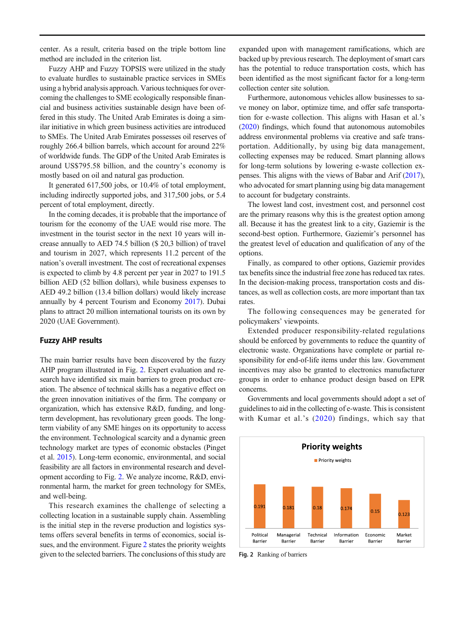center. As a result, criteria based on the triple bottom line method are included in the criterion list.

Fuzzy AHP and Fuzzy TOPSIS were utilized in the study to evaluate hurdles to sustainable practice services in SMEs using a hybrid analysis approach. Various techniques for overcoming the challenges to SME ecologically responsible financial and business activities sustainable design have been offered in this study. The United Arab Emirates is doing a similar initiative in which green business activities are introduced to SMEs. The United Arab Emirates possesses oil reserves of roughly 266.4 billion barrels, which account for around 22% of worldwide funds. The GDP of the United Arab Emirates is around US\$795.58 billion, and the country's economy is mostly based on oil and natural gas production.

It generated 617,500 jobs, or 10.4% of total employment, including indirectly supported jobs, and 317,500 jobs, or 5.4 percent of total employment, directly.

In the coming decades, it is probable that the importance of tourism for the economy of the UAE would rise more. The investment in the tourist sector in the next 10 years will increase annually to AED 74.5 billion (\$ 20,3 billion) of travel and tourism in 2027, which represents 11.2 percent of the nation's overall investment. The cost of recreational expenses is expected to climb by 4.8 percent per year in 2027 to 191.5 billion AED (52 billion dollars), while business expenses to AED 49.2 billion (13.4 billion dollars) would likely increase annually by 4 percent Tourism and Economy [2017](#page-16-0)). Dubai plans to attract 20 million international tourists on its own by 2020 (UAE Government).

#### Fuzzy AHP results

The main barrier results have been discovered by the fuzzy AHP program illustrated in Fig. 2. Expert evaluation and research have identified six main barriers to green product creation. The absence of technical skills has a negative effect on the green innovation initiatives of the firm. The company or organization, which has extensive R&D, funding, and longterm development, has revolutionary green goods. The longterm viability of any SME hinges on its opportunity to access the environment. Technological scarcity and a dynamic green technology market are types of economic obstacles (Pinget et al. [2015\)](#page-16-0). Long-term economic, environmental, and social feasibility are all factors in environmental research and development according to Fig. 2. We analyze income, R&D, environmental harm, the market for green technology for SMEs, and well-being.

This research examines the challenge of selecting a collecting location in a sustainable supply chain. Assembling is the initial step in the reverse production and logistics systems offers several benefits in terms of economics, social issues, and the environment. Figure 2 states the priority weights given to the selected barriers. The conclusions of this study are

expanded upon with management ramifications, which are backed up by previous research. The deployment of smart cars has the potential to reduce transportation costs, which has been identified as the most significant factor for a long-term collection center site solution.

Furthermore, autonomous vehicles allow businesses to save money on labor, optimize time, and offer safe transportation for e-waste collection. This aligns with Hasan et al.'s [\(2020\)](#page-15-0) findings, which found that autonomous automobiles address environmental problems via creative and safe transportation. Additionally, by using big data management, collecting expenses may be reduced. Smart planning allows for long-term solutions by lowering e-waste collection expenses. This aligns with the views of Babar and Arif [\(2017\)](#page-14-0), who advocated for smart planning using big data management to account for budgetary constraints.

The lowest land cost, investment cost, and personnel cost are the primary reasons why this is the greatest option among all. Because it has the greatest link to a city, Gaziemir is the second-best option. Furthermore, Gaziemir's personnel has the greatest level of education and qualification of any of the options.

Finally, as compared to other options, Gaziemir provides tax benefits since the industrial free zone has reduced tax rates. In the decision-making process, transportation costs and distances, as well as collection costs, are more important than tax rates.

The following consequences may be generated for policymakers' viewpoints.

Extended producer responsibility-related regulations should be enforced by governments to reduce the quantity of electronic waste. Organizations have complete or partial responsibility for end-of-life items under this law. Government incentives may also be granted to electronics manufacturer groups in order to enhance product design based on EPR concerns.

Governments and local governments should adopt a set of guidelines to aid in the collecting of e-waste. This is consistent with Kumar et al.'s ([2020](#page-15-0)) findings, which say that



Fig. 2 Ranking of barriers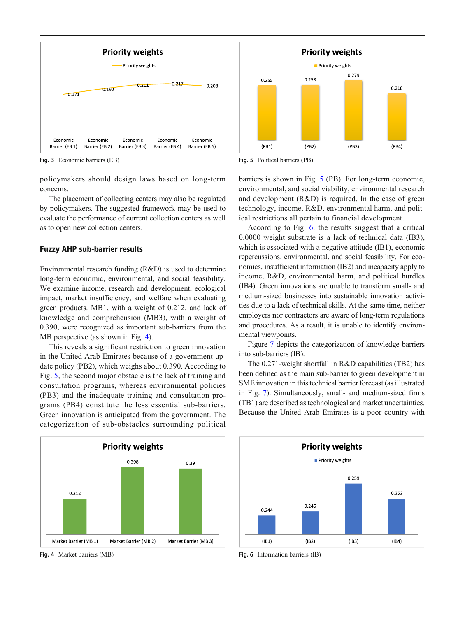<span id="page-10-0"></span>

Fig. 3 Economic barriers (EB)

policymakers should design laws based on long-term concerns.

The placement of collecting centers may also be regulated by policymakers. The suggested framework may be used to evaluate the performance of current collection centers as well as to open new collection centers.

#### Fuzzy AHP sub-barrier results

Environmental research funding (R&D) is used to determine long-term economic, environmental, and social feasibility. We examine income, research and development, ecological impact, market insufficiency, and welfare when evaluating green products. MB1, with a weight of 0.212, and lack of knowledge and comprehension (MB3), with a weight of 0.390, were recognized as important sub-barriers from the MB perspective (as shown in Fig. 4).

This reveals a significant restriction to green innovation in the United Arab Emirates because of a government update policy (PB2), which weighs about 0.390. According to Fig. 5, the second major obstacle is the lack of training and consultation programs, whereas environmental policies (PB3) and the inadequate training and consultation programs (PB4) constitute the less essential sub-barriers. Green innovation is anticipated from the government. The categorization of sub-obstacles surrounding political



Fig. 4 Market barriers (MB)



Fig. 5 Political barriers (PB)

barriers is shown in Fig. 5 (PB). For long-term economic, environmental, and social viability, environmental research and development (R&D) is required. In the case of green technology, income, R&D, environmental harm, and political restrictions all pertain to financial development.

According to Fig. 6, the results suggest that a critical 0.0000 weight substrate is a lack of technical data (IB3), which is associated with a negative attitude (IB1), economic repercussions, environmental, and social feasibility. For economics, insufficient information (IB2) and incapacity apply to income, R&D, environmental harm, and political hurdles (IB4). Green innovations are unable to transform small- and medium-sized businesses into sustainable innovation activities due to a lack of technical skills. At the same time, neither employers nor contractors are aware of long-term regulations and procedures. As a result, it is unable to identify environmental viewpoints.

Figure [7](#page-11-0) depicts the categorization of knowledge barriers into sub-barriers (IB).

The 0.271-weight shortfall in R&D capabilities (TB2) has been defined as the main sub-barrier to green development in SME innovation in this technical barrier forecast (as illustrated in Fig. [7\)](#page-11-0). Simultaneously, small- and medium-sized firms (TB1) are described as technological and market uncertainties. Because the United Arab Emirates is a poor country with



Fig. 6 Information barriers (IB)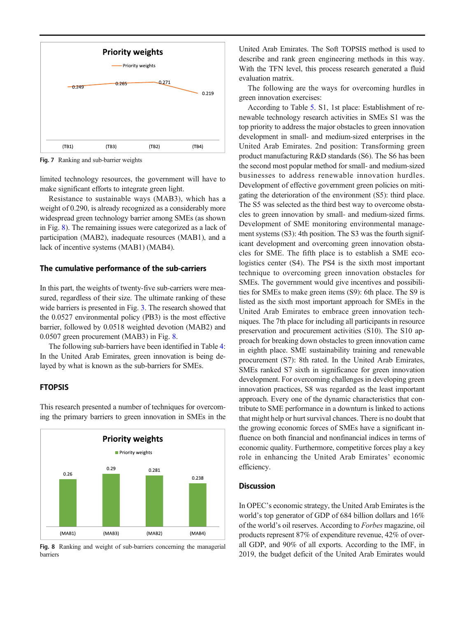<span id="page-11-0"></span>

Fig. 7 Ranking and sub-barrier weights

limited technology resources, the government will have to make significant efforts to integrate green light.

Resistance to sustainable ways (MAB3), which has a weight of 0.290, is already recognized as a considerably more widespread green technology barrier among SMEs (as shown in Fig. 8). The remaining issues were categorized as a lack of participation (MAB2), inadequate resources (MAB1), and a lack of incentive systems (MAB1) (MAB4).

#### The cumulative performance of the sub-carriers

In this part, the weights of twenty-five sub-carriers were measured, regardless of their size. The ultimate ranking of these wide barriers is presented in Fig. [3](#page-10-0). The research showed that the 0.0527 environmental policy (PB3) is the most effective barrier, followed by 0.0518 weighted devotion (MAB2) and 0.0507 green procurement (MAB3) in Fig. 8.

The following sub-barriers have been identified in Table [4](#page-12-0): In the United Arab Emirates, green innovation is being delayed by what is known as the sub-barriers for SMEs.

## FTOPSIS

This research presented a number of techniques for overcoming the primary barriers to green innovation in SMEs in the



Fig. 8 Ranking and weight of sub-barriers concerning the managerial barriers

United Arab Emirates. The Soft TOPSIS method is used to describe and rank green engineering methods in this way. With the TFN level, this process research generated a fluid evaluation matrix.

The following are the ways for overcoming hurdles in green innovation exercises:

According to Table [5](#page-12-0). S1, 1st place: Establishment of renewable technology research activities in SMEs S1 was the top priority to address the major obstacles to green innovation development in small- and medium-sized enterprises in the United Arab Emirates. 2nd position: Transforming green product manufacturing R&D standards (S6). The S6 has been the second most popular method for small- and medium-sized businesses to address renewable innovation hurdles. Development of effective government green policies on mitigating the deterioration of the environment (S5): third place. The S5 was selected as the third best way to overcome obstacles to green innovation by small- and medium-sized firms. Development of SME monitoring environmental management systems (S3): 4th position. The S3 was the fourth significant development and overcoming green innovation obstacles for SME. The fifth place is to establish a SME ecologistics center (S4). The PS4 is the sixth most important technique to overcoming green innovation obstacles for SMEs. The government would give incentives and possibilities for SMEs to make green items (S9): 6th place. The S9 is listed as the sixth most important approach for SMEs in the United Arab Emirates to embrace green innovation techniques. The 7th place for including all participants in resource preservation and procurement activities (S10). The S10 approach for breaking down obstacles to green innovation came in eighth place. SME sustainability training and renewable procurement (S7): 8th rated. In the United Arab Emirates, SMEs ranked S7 sixth in significance for green innovation development. For overcoming challenges in developing green innovation practices, S8 was regarded as the least important approach. Every one of the dynamic characteristics that contribute to SME performance in a downturn is linked to actions that might help or hurt survival chances. There is no doubt that the growing economic forces of SMEs have a significant influence on both financial and nonfinancial indices in terms of economic quality. Furthermore, competitive forces play a key role in enhancing the United Arab Emirates' economic efficiency.

## **Discussion**

In OPEC's economic strategy, the United Arab Emirates is the world's top generator of GDP of 684 billion dollars and 16% of the world's oil reserves. According to Forbes magazine, oil products represent 87% of expenditure revenue, 42% of overall GDP, and 90% of all exports. According to the IMF, in 2019, the budget deficit of the United Arab Emirates would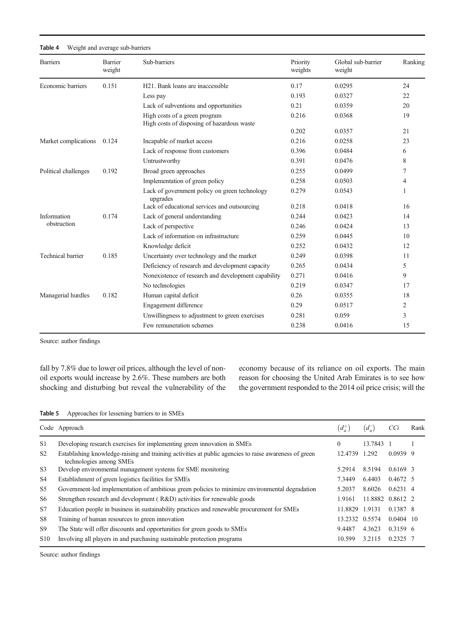#### <span id="page-12-0"></span>Table 4 Weight and average sub-barriers

| <b>Barriers</b>          | <b>Barrier</b><br>weight | Sub-barriers                                                                | Priority<br>weights | Global sub-barrier<br>weight | Ranking |
|--------------------------|--------------------------|-----------------------------------------------------------------------------|---------------------|------------------------------|---------|
| Economic barriers        | 0.151                    | H <sub>21</sub> . Bank loans are inaccessible                               | 0.17                | 0.0295                       | 24      |
|                          |                          | Less pay                                                                    | 0.193               | 0.0327                       | 22      |
|                          |                          | Lack of subventions and opportunities                                       | 0.21                | 0.0359                       | 20      |
|                          |                          | High costs of a green program<br>High costs of disposing of hazardous waste | 0.216               | 0.0368                       | 19      |
|                          |                          |                                                                             | 0.202               | 0.0357                       | 21      |
| Market complications     | 0.124                    | Incapable of market access                                                  | 0.216               | 0.0258                       | 23      |
|                          |                          | Lack of response from customers                                             | 0.396               | 0.0484                       | 6       |
|                          |                          | Untrustworthy                                                               | 0.391               | 0.0476                       | 8       |
| Political challenges     | 0.192                    | Broad green approaches                                                      | 0.255               | 0.0499                       | 7       |
|                          |                          | Implementation of green policy                                              | 0.258               | 0.0503                       | 4       |
|                          |                          | Lack of government policy on green technology<br>upgrades                   | 0.279               | 0.0543                       | 1       |
|                          |                          | Lack of educational services and outsourcing                                | 0.218               | 0.0418                       | 16      |
| Information              | 0.174                    | Lack of general understanding                                               | 0.244               | 0.0423                       | 14      |
| obstruction              |                          | Lack of perspective                                                         | 0.246               | 0.0424                       | 13      |
|                          |                          | Lack of information on infrastructure                                       | 0.259               | 0.0445                       | 10      |
|                          |                          | Knowledge deficit                                                           | 0.252               | 0.0432                       | 12      |
| <b>Technical barrier</b> | 0.185                    | Uncertainty over technology and the market                                  | 0.249               | 0.0398                       | 11      |
|                          |                          | Deficiency of research and development capacity                             | 0.265               | 0.0434                       | 5       |
|                          |                          | Nonexistence of research and development capability                         | 0.271               | 0.0416                       | 9       |
|                          |                          | No technologies                                                             | 0.219               | 0.0347                       | 17      |
| Managerial hurdles       | 0.182                    | Human capital deficit                                                       | 0.26                | 0.0355                       | 18      |
|                          |                          | Engagement difference                                                       | 0.29                | 0.0517                       | 2       |
|                          |                          | Unwillingness to adjustment to green exercises                              | 0.281               | 0.059                        | 3       |
|                          |                          | Few remuneration schemes                                                    | 0.238               | 0.0416                       | 15      |

Source: author findings

fall by 7.8% due to lower oil prices, although the level of nonoil exports would increase by 2.6%. These numbers are both shocking and disturbing but reveal the vulnerability of the economy because of its reliance on oil exports. The main reason for choosing the United Arab Emirates is to see how the government responded to the 2014 oil price crisis; will the

| Table 5 | Approaches for lessening barriers to in SMEs |  |  |  |  |  |  |
|---------|----------------------------------------------|--|--|--|--|--|--|
|---------|----------------------------------------------|--|--|--|--|--|--|

|                 | Code Approach                                                                                                                    | $(d^+_a$       | $(d_a^-)$        | CCi              | Rank |
|-----------------|----------------------------------------------------------------------------------------------------------------------------------|----------------|------------------|------------------|------|
| S <sub>1</sub>  | Developing research exercises for implementing green innovation in SMEs                                                          | $\Omega$       | 13.7843 1        |                  |      |
| S <sub>2</sub>  | Establishing knowledge-raising and training activities at public agencies to raise awareness of green<br>technologies among SMEs | 12.4739        | 1.292            | $0.0939$ 9       |      |
| S <sub>3</sub>  | Develop environmental management systems for SME monitoring                                                                      | 5.2914         | 8.5194           | $0.6169$ 3       |      |
| S <sub>4</sub>  | Establishment of green logistics facilities for SMEs                                                                             | 7.3449         | 6.4403           | $0.4672 \quad 5$ |      |
| S5              | Government-led implementation of ambitious green policies to minimize environmental degradation                                  | 5.2037         | 8.6026           | $0.6231$ 4       |      |
| S6              | Strengthen research and development (R&D) activities for renewable goods                                                         | 1.9161         | 11.8882 0.8612 2 |                  |      |
| S7              | Education people in business in sustainability practices and renewable procurement for SMEs                                      | 11.8829        | 1.9131           | 0.1387 8         |      |
| S8              | Training of human resources to green innovation                                                                                  | 13.2332 0.5574 |                  | $0.0404$ 10      |      |
| S <sub>9</sub>  | The State will offer discounts and opportunities for green goods to SMEs                                                         | 9.4487         | 4.3623           | $0.3159$ 6       |      |
| S <sub>10</sub> | Involving all players in and purchasing sustainable protection programs                                                          | 10.599         | 3.2115           | 0.2325 7         |      |

Source: author findings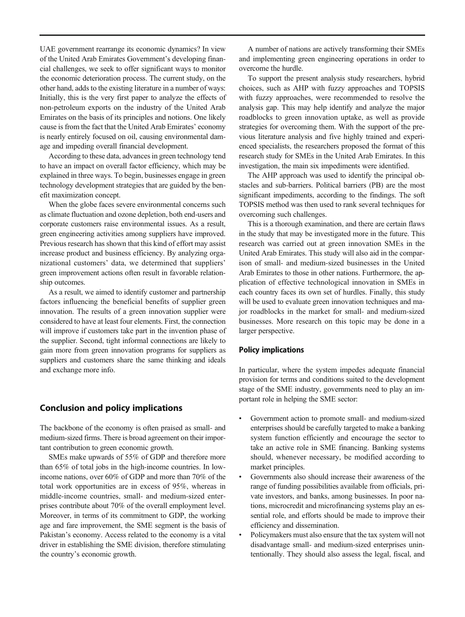<span id="page-13-0"></span>UAE government rearrange its economic dynamics? In view of the United Arab Emirates Government's developing financial challenges, we seek to offer significant ways to monitor the economic deterioration process. The current study, on the other hand, adds to the existing literature in a number of ways: Initially, this is the very first paper to analyze the effects of non-petroleum exports on the industry of the United Arab Emirates on the basis of its principles and notions. One likely cause is from the fact that the United Arab Emirates' economy is nearly entirely focused on oil, causing environmental damage and impeding overall financial development.

According to these data, advances in green technology tend to have an impact on overall factor efficiency, which may be explained in three ways. To begin, businesses engage in green technology development strategies that are guided by the benefit maximization concept.

When the globe faces severe environmental concerns such as climate fluctuation and ozone depletion, both end-users and corporate customers raise environmental issues. As a result, green engineering activities among suppliers have improved. Previous research has shown that this kind of effort may assist increase product and business efficiency. By analyzing organizational customers' data, we determined that suppliers' green improvement actions often result in favorable relationship outcomes.

As a result, we aimed to identify customer and partnership factors influencing the beneficial benefits of supplier green innovation. The results of a green innovation supplier were considered to have at least four elements. First, the connection will improve if customers take part in the invention phase of the supplier. Second, tight informal connections are likely to gain more from green innovation programs for suppliers as suppliers and customers share the same thinking and ideals and exchange more info.

## Conclusion and policy implications

The backbone of the economy is often praised as small- and medium-sized firms. There is broad agreement on their important contribution to green economic growth.

SMEs make upwards of 55% of GDP and therefore more than 65% of total jobs in the high-income countries. In lowincome nations, over 60% of GDP and more than 70% of the total work opportunities are in excess of 95%, whereas in middle-income countries, small- and medium-sized enterprises contribute about 70% of the overall employment level. Moreover, in terms of its commitment to GDP, the working age and fare improvement, the SME segment is the basis of Pakistan's economy. Access related to the economy is a vital driver in establishing the SME division, therefore stimulating the country's economic growth.

A number of nations are actively transforming their SMEs and implementing green engineering operations in order to overcome the hurdle.

To support the present analysis study researchers, hybrid choices, such as AHP with fuzzy approaches and TOPSIS with fuzzy approaches, were recommended to resolve the analysis gap. This may help identify and analyze the major roadblocks to green innovation uptake, as well as provide strategies for overcoming them. With the support of the previous literature analysis and five highly trained and experienced specialists, the researchers proposed the format of this research study for SMEs in the United Arab Emirates. In this investigation, the main six impediments were identified.

The AHP approach was used to identify the principal obstacles and sub-barriers. Political barriers (PB) are the most significant impediments, according to the findings. The soft TOPSIS method was then used to rank several techniques for overcoming such challenges.

This is a thorough examination, and there are certain flaws in the study that may be investigated more in the future. This research was carried out at green innovation SMEs in the United Arab Emirates. This study will also aid in the comparison of small- and medium-sized businesses in the United Arab Emirates to those in other nations. Furthermore, the application of effective technological innovation in SMEs in each country faces its own set of hurdles. Finally, this study will be used to evaluate green innovation techniques and major roadblocks in the market for small- and medium-sized businesses. More research on this topic may be done in a larger perspective.

## Policy implications

In particular, where the system impedes adequate financial provision for terms and conditions suited to the development stage of the SME industry, governments need to play an important role in helping the SME sector:

- Government action to promote small- and medium-sized enterprises should be carefully targeted to make a banking system function efficiently and encourage the sector to take an active role in SME financing. Banking systems should, whenever necessary, be modified according to market principles.
- Governments also should increase their awareness of the range of funding possibilities available from officials, private investors, and banks, among businesses. In poor nations, microcredit and microfinancing systems play an essential role, and efforts should be made to improve their efficiency and dissemination.
- Policymakers must also ensure that the tax system will not disadvantage small- and medium-sized enterprises unintentionally. They should also assess the legal, fiscal, and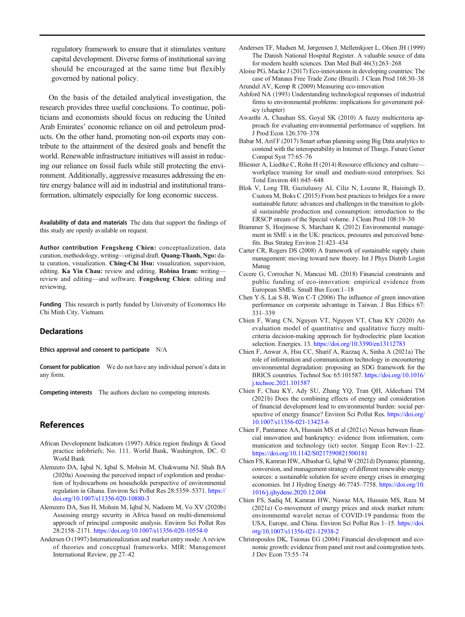<span id="page-14-0"></span>regulatory framework to ensure that it stimulates venture capital development. Diverse forms of institutional saving should be encouraged at the same time but flexibly governed by national policy.

On the basis of the detailed analytical investigation, the research provides three useful conclusions. To continue, politicians and economists should focus on reducing the United Arab Emirates' economic reliance on oil and petroleum products. On the other hand, promoting non-oil exports may contribute to the attainment of the desired goals and benefit the world. Renewable infrastructure initiatives will assist in reducing our reliance on fossil fuels while still protecting the environment. Additionally, aggressive measures addressing the entire energy balance will aid in industrial and institutional transformation, ultimately especially for long economic success.

Availability of data and materials The data that support the findings of this study are openly available on request.

Author contribution Fengsheng Chien: conceptualization, data curation, methodology, writing—original draft. Quang-Thanh, Ngo: data curation, visualization. Ching-Chi Hsu: visualization, supervision, editing. Ka Yin Chau: review and editing. Robina Iram: writingreview and editing—and software. Fengsheng Chien: editing and reviewing.

Funding This research is partly funded by University of Economics Ho Chi Minh City, Vietnam.

#### **Declarations**

Ethics approval and consent to participate N/A

Consent for publication We do not have any individual person's data in any form.

Competing interests The authors declare no competing interests.

## References

- African Development Indicators (1997) Africa region findings & Good practice infobriefs; No. 111. World Bank, Washington, DC. © World Bank
- Alemzero DA, Iqbal N, Iqbal S, Mohsin M, Chukwuma NJ, Shah BA (2020a) Assessing the perceived impact of exploration and production of hydrocarbons on households perspective of environmental regulation in Ghana. Environ Sci Pollut Res 28:5359–5371. [https://](https://doi.org/10.1007/s11356-020-10880-3) [doi.org/10.1007/s11356-020-10880-3](https://doi.org/10.1007/s11356-020-10880-3)
- Alemzero DA, Sun H, Mohsin M, Iqbal N, Nadeem M, Vo XV (2020b) Assessing energy security in Africa based on multi-dimensional approach of principal composite analysis. Environ Sci Pollut Res 28:2158–2171. <https://doi.org/10.1007/s11356-020-10554-0>
- Andersen O (1997) Internationalization and market entry mode: A review of theories and conceptual frameworks. MIR: Management International Review, pp 27–42
- Andersen TF, Madsen M, Jørgensen J, Mellemkjoer L, Olsen JH (1999) The Danish National Hospital Register. A valuable source of data for modern health sciences. Dan Med Bull 46(3):263–268
- Aloise PG, Macke J (2017) Eco-innovations in developing countries: The case of Manaus Free Trade Zone (Brazil). J Clean Prod 168:30–38 Arundel AV, Kemp R (2009) Measuring eco-innovation
- Ashford NA (1993) Understanding technological responses of industrial firms to environmental problems: implications for government policy (chapter)
- Awasthi A, Chauhan SS, Goyal SK (2010) A fuzzy multicriteria approach for evaluating environmental performance of suppliers. Int J Prod Econ 126:370–378
- Babar M, Arif F (2017) Smart urban planning using Big Data analytics to contend with the interoperability in Internet of Things. Future Gener Comput Syst 77:65–76
- Bliesner A, Liedtke C, Rohn H (2014) Resource efficiency and culture workplace training for small and medium-sized enterprises. Sci Total Environ 481:645–648
- Blok V, Long TB, Gaziulusoy AI, Ciliz N, Lozano R, Huisingh D, Csutora M, Boks C (2015) From best practices to bridges for a more sustainable future: advances and challenges in the transition to global sustainable production and consumption: introduction to the ERSCP stream of the Special volume. J Clean Prod 108:19–30
- Brammer S, Hoejmose S, Marchant K (2012) Environmental management in SME s in the UK: practices, pressures and perceived benefits. Bus Strateg Environ 21:423–434
- Carter CR, Rogers DS (2008) A framework of sustainable supply chain management: moving toward new theory. Int J Phys Distrib Logist Manag
- Cecere G, Corrocher N, Mancusi ML (2018) Financial constraints and public funding of eco-innovation: empirical evidence from European SMEs. Small Bus Econ:1–18
- Chen Y-S, Lai S-B, Wen C-T (2006) The influence of green innovation performance on corporate advantage in Taiwan. J Bus Ethics 67: 331–339
- Chien F, Wang CN, Nguyen VT, Nguyen VT, Chau KY (2020) An evaluation model of quantitative and qualitative fuzzy multicriteria decision-making approach for hydroelectric plant location selection. Energies. 13. <https://doi.org/10.3390/en13112783>
- Chien F, Anwar A, Hsu CC, Sharif A, Razzaq A, Sinha A (2021a) The role of information and communication technology in encountering environmental degradation: proposing an SDG framework for the BRICS countries. Technol Soc 65:101587. [https://doi.org/10.1016/](https://doi.org/10.1016/j.techsoc.2021.101587) [j.techsoc.2021.101587](https://doi.org/10.1016/j.techsoc.2021.101587)
- Chien F, Chau KY, Ady SU, Zhang YQ, Tran QH, Aldeehani TM (2021b) Does the combining effects of energy and consideration of financial development lead to environmental burden: social perspective of energy finance? Environ Sci Pollut Res. [https://doi.org/](https://doi.org/10.1007/s11356-021-13423-6) [10.1007/s11356-021-13423-6](https://doi.org/10.1007/s11356-021-13423-6)
- Chien F, Pantamee AA, Hussain MS et al (2021c) Nexus between financial innovation and bankruptcy: evidence from information, communication and technology (ict) sector. Singap Econ Rev:1–22. <https://doi.org/10.1142/S0217590821500181>
- Chien FS, Kamran HW, Albashar G, Iqbal W (2021d) Dynamic planning, conversion, and management strategy of different renewable energy sources: a sustainable solution for severe energy crises in emerging economies. Int J Hydrog Energy 46:7745–7758. [https://doi.org/10.](https://doi.org/10.1016/j.ijhydene.2020.12.004) [1016/j.ijhydene.2020.12.004](https://doi.org/10.1016/j.ijhydene.2020.12.004)
- Chien FS, Sadiq M, Kamran HW, Nawaz MA, Hussain MS, Raza M (2021e) Co-movement of energy prices and stock market return: environmental wavelet nexus of COVID-19 pandemic from the USA, Europe, and China. Environ Sci Pollut Res 1–15. [https://doi.](https://doi.org/10.1007/s11356-021-12938-2) [org/10.1007/s11356-021-12938-2](https://doi.org/10.1007/s11356-021-12938-2)
- Christopoulos DK, Tsionas EG (2004) Financial development and economic growth: evidence from panel unit root and cointegration tests. J Dev Econ 73:55–74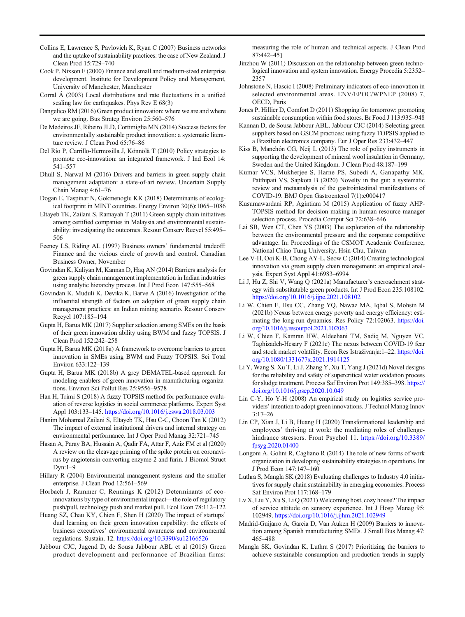- <span id="page-15-0"></span>Collins E, Lawrence S, Pavlovich K, Ryan C (2007) Business networks and the uptake of sustainability practices: the case of New Zealand. J Clean Prod 15:729–740
- Cook P, Nixson F (2000) Finance and small and medium-sized enterprise development. Institute for Development Policy and Management, University of Manchester, Manchester
- Corral Á (2003) Local distributions and rate fluctuations in a unified scaling law for earthquakes. Phys Rev E 68(3)
- Dangelico RM (2016) Green product innovation: where we are and where we are going. Bus Strateg Environ 25:560–576
- De Medeiros JF, Ribeiro JLD, Cortimiglia MN (2014) Success factors for environmentally sustainable product innovation: a systematic literature review. J Clean Prod 65:76–86
- Del Río P, Carrillo-Hermosilla J, Könnölä T (2010) Policy strategies to promote eco-innovation: an integrated framework. J Ind Ecol 14: 541–557
- Dhull S, Narwal M (2016) Drivers and barriers in green supply chain management adaptation: a state-of-art review. Uncertain Supply Chain Manag 4:61–76
- Dogan E, Taspinar N, Gokmenoglu KK (2018) Determinants of ecological footprint in MINT countries. Energy Environ 30(6):1065–1086
- Eltayeb TK, Zailani S, Ramayah T (2011) Green supply chain initiatives among certified companies in Malaysia and environmental sustainability: investigating the outcomes. Resour Conserv Recycl 55:495– 506
- Feeney LS, Riding AL (1997) Business owners' fundamental tradeoff: Finance and the vicious circle of growth and control. Canadian Business Owner, November
- Govindan K, Kaliyan M, Kannan D, Haq AN (2014) Barriers analysis for green supply chain management implementation in Indian industries using analytic hierarchy process. Int J Prod Econ 147:555–568
- Govindan K, Muduli K, Devika K, Barve A (2016) Investigation of the influential strength of factors on adoption of green supply chain management practices: an Indian mining scenario. Resour Conserv Recycl 107:185–194
- Gupta H, Barua MK (2017) Supplier selection among SMEs on the basis of their green innovation ability using BWM and fuzzy TOPSIS. J Clean Prod 152:242–258
- Gupta H, Barua MK (2018a) A framework to overcome barriers to green innovation in SMEs using BWM and Fuzzy TOPSIS. Sci Total Environ 633:122–139
- Gupta H, Barua MK (2018b) A grey DEMATEL-based approach for modeling enablers of green innovation in manufacturing organizations. Environ Sci Pollut Res 25:9556–9578
- Han H, Trimi S (2018) A fuzzy TOPSIS method for performance evaluation of reverse logistics in social commerce platforms. Expert Syst Appl 103:133–145. <https://doi.org/10.1016/j.eswa.2018.03.003>
- Hanim Mohamad Zailani S, Eltayeb TK, Hsu C-C, Choon Tan K (2012) The impact of external institutional drivers and internal strategy on environmental performance. Int J Oper Prod Manag 32:721–745
- Hasan A, Paray BA, Hussain A, Qadir FA, Attar F, Aziz FM et al (2020) A review on the cleavage priming of the spike protein on coronavirus by angiotensin-converting enzyme-2 and furin. J Biomol Struct Dyn:1–9
- Hillary R (2004) Environmental management systems and the smaller enterprise. J Clean Prod 12:561–569
- Horbach J, Rammer C, Rennings K (2012) Determinants of ecoinnovations by type of environmental impact—the role of regulatory push/pull, technology push and market pull. Ecol Econ 78:112–122
- Huang SZ, Chau KY, Chien F, Shen H (2020) The impact of startups' dual learning on their green innovation capability: the effects of business executives' environmental awareness and environmental regulations. Sustain. 12. <https://doi.org/10.3390/su12166526>
- Jabbour CJC, Jugend D, de Sousa Jabbour ABL et al (2015) Green product development and performance of Brazilian firms:

measuring the role of human and technical aspects. J Clean Prod 87:442–451

- Jinzhou W (2011) Discussion on the relationship between green technological innovation and system innovation. Energy Procedia 5:2352– 2357
- Johnstone N, Hascic I (2008) Preliminary indicators of eco-innovation in selected environmental areas. ENV/EPOC/WPNEP (2008) 7, OECD, Paris
- Jones P, Hillier D, Comfort D (2011) Shopping for tomorrow: promoting sustainable consumption within food stores. Br Food J 113:935–948
- Kannan D, de Sousa Jabbour ABL, Jabbour CJC (2014) Selecting green suppliers based on GSCM practices: using fuzzy TOPSIS applied to a Brazilian electronics company. Eur J Oper Res 233:432–447
- Kiss B, Manchón CG, Neij L (2013) The role of policy instruments in supporting the development of mineral wool insulation in Germany, Sweden and the United Kingdom. J Clean Prod 48:187–199
- Kumar VCS, Mukherjee S, Harne PS, Subedi A, Ganapathy MK, Patthipati VS, Sapkota B (2020) Novelty in the gut: a systematic review and metaanalysis of the gastrointestinal manifestations of COVID-19. BMJ Open Gastroenterol 7(1):e000417
- Kusumawardani RP, Agintiara M (2015) Application of fuzzy AHP-TOPSIS method for decision making in human resource manager selection process. Procedia Comput Sci 72:638–646
- Lai SB, Wen CT, Chen YS (2003) The exploration of the relationship between the environmental pressure and the corporate competitive advantage. In: Proceedings of the CSMOT Academic Conference, National Chiao Tung University, Hsin-Chu, Taiwan
- Lee V-H, Ooi K-B, Chong AY-L, Seow C (2014) Creating technological innovation via green supply chain management: an empirical analysis. Expert Syst Appl 41:6983–6994
- Li J, Hu Z, Shi V, Wang Q (2021a) Manufacturer's encroachment strategy with substitutable green products. Int J Prod Econ 235:108102. <https://doi.org/10.1016/j.ijpe.2021.108102>
- Li W, Chien F, Hsu CC, Zhang YQ, Nawaz MA, Iqbal S, Mohsin M (2021b) Nexus between energy poverty and energy efficiency: estimating the long-run dynamics. Res Policy 72:102063. [https://doi.](https://doi.org/10.1016/j.resourpol.2021.102063) [org/10.1016/j.resourpol.2021.102063](https://doi.org/10.1016/j.resourpol.2021.102063)
- Li W, Chien F, Kamran HW, Aldeehani TM, Sadiq M, Nguyen VC, Taghizadeh-Hesary F (2021c) The nexus between COVID-19 fear and stock market volatility. Econ Res Istraživanja:1–22. [https://doi.](https://doi.org/10.1080/1331677x.2021.1914125) [org/10.1080/1331677x.2021.1914125](https://doi.org/10.1080/1331677x.2021.1914125)
- Li Y, Wang S, Xu T, Li J, Zhang Y, Xu T, Yang J (2021d) Novel designs for the reliability and safety of supercritical water oxidation process for sludge treatment. Process Saf Environ Prot 149:385–398. [https://](https://doi.org/10.1016/j.psep.2020.10.049) [doi.org/10.1016/j.psep.2020.10.049](https://doi.org/10.1016/j.psep.2020.10.049)
- Lin C-Y, Ho Y-H (2008) An empirical study on logistics service providers' intention to adopt green innovations. J Technol Manag Innov 3:17–26
- Lin CP, Xian J, Li B, Huang H (2020) Transformational leadership and employees' thriving at work: the mediating roles of challengehindrance stressors. Front Psychol 11. [https://doi.org/10.3389/](https://doi.org/10.3389/fpsyg.2020.01400) [fpsyg.2020.01400](https://doi.org/10.3389/fpsyg.2020.01400)
- Longoni A, Golini R, Cagliano R (2014) The role of new forms of work organization in developing sustainability strategies in operations. Int J Prod Econ 147:147–160
- Luthra S, Mangla SK (2018) Evaluating challenges to Industry 4.0 initiatives for supply chain sustainability in emerging economies. Process Saf Environ Prot 117:168–179
- Lv X, Liu Y, Xu S, Li Q (2021) Welcoming host, cozy house? The impact of service attitude on sensory experience. Int J Hosp Manag 95: 102949. <https://doi.org/10.1016/j.ijhm.2021.102949>
- Madrid-Guijarro A, Garcia D, Van Auken H (2009) Barriers to innovation among Spanish manufacturing SMEs. J Small Bus Manag 47: 465–488
- Mangla SK, Govindan K, Luthra S (2017) Prioritizing the barriers to achieve sustainable consumption and production trends in supply